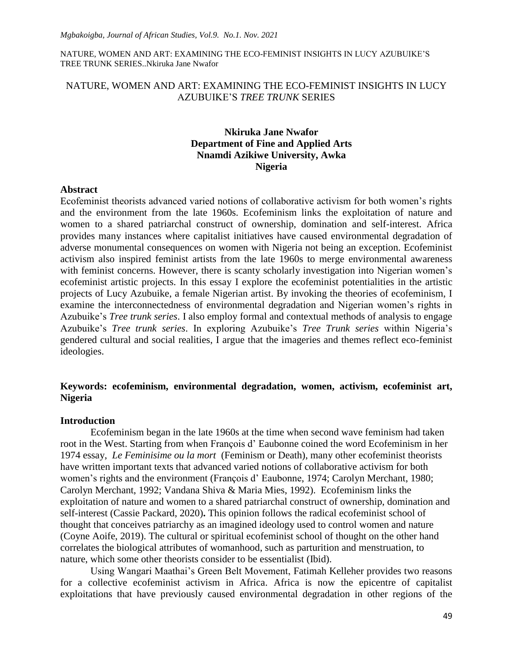## NATURE, WOMEN AND ART: EXAMINING THE ECO-FEMINIST INSIGHTS IN LUCY AZUBUIKE"S *TREE TRUNK* SERIES

# **Nkiruka Jane Nwafor Department of Fine and Applied Arts Nnamdi Azikiwe University, Awka Nigeria**

#### **Abstract**

Ecofeminist theorists advanced varied notions of collaborative activism for both women"s rights and the environment from the late 1960s. Ecofeminism links the exploitation of nature and women to a shared patriarchal construct of ownership, domination and self-interest. Africa provides many instances where capitalist initiatives have caused environmental degradation of adverse monumental consequences on women with Nigeria not being an exception. Ecofeminist activism also inspired feminist artists from the late 1960s to merge environmental awareness with feminist concerns. However, there is scanty scholarly investigation into Nigerian women's ecofeminist artistic projects. In this essay I explore the ecofeminist potentialities in the artistic projects of Lucy Azubuike, a female Nigerian artist. By invoking the theories of ecofeminism, I examine the interconnectedness of environmental degradation and Nigerian women"s rights in Azubuike"s *Tree trunk series*. I also employ formal and contextual methods of analysis to engage Azubuike"s *Tree trunk series*. In exploring Azubuike"s *Tree Trunk series* within Nigeria"s gendered cultural and social realities, I argue that the imageries and themes reflect eco-feminist ideologies.

# **Keywords: ecofeminism, environmental degradation, women, activism, ecofeminist art, Nigeria**

### **Introduction**

Ecofeminism began in the late 1960s at the time when second wave feminism had taken root in the West. Starting from when François d" Eaubonne coined the word Ecofeminism in her 1974 essay, *Le Feminisime ou la mort* (Feminism or Death), many other ecofeminist theorists have written important texts that advanced varied notions of collaborative activism for both women's rights and the environment (François d'Eaubonne, 1974; Carolyn Merchant, 1980; Carolyn Merchant, 1992; Vandana Shiva & Maria Mies, 1992). Ecofeminism links the exploitation of nature and women to a shared patriarchal construct of ownership, domination and self-interest (Cassie Packard, 2020)**.** This opinion follows the radical ecofeminist school of thought that conceives patriarchy as an imagined ideology used to control women and nature (Coyne Aoife, 2019). The cultural or spiritual ecofeminist school of thought on the other hand correlates the biological attributes of womanhood, such as parturition and menstruation, to nature, which some other theorists consider to be essentialist (Ibid).

Using Wangari Maathai"s Green Belt Movement, Fatimah Kelleher provides two reasons for a collective ecofeminist activism in Africa. Africa is now the epicentre of capitalist exploitations that have previously caused environmental degradation in other regions of the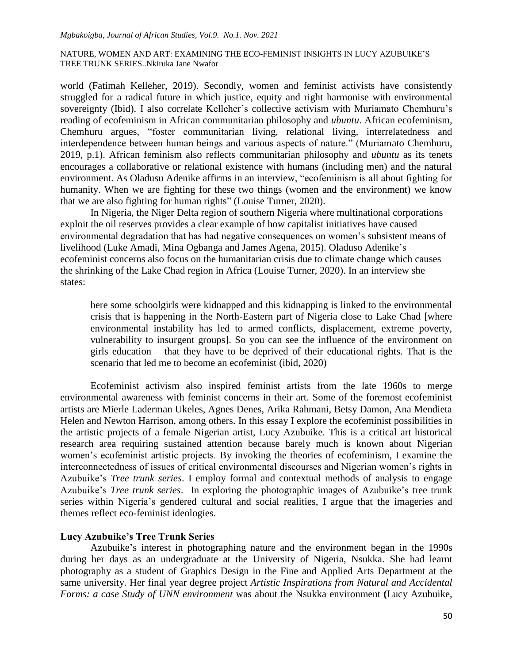world (Fatimah Kelleher, 2019). Secondly, women and feminist activists have consistently struggled for a radical future in which justice, equity and right harmonise with environmental sovereignty (Ibid). I also correlate Kelleher's collective activism with Muriamato Chemhuru's reading of ecofeminism in African communitarian philosophy and *ubuntu*. African ecofeminism, Chemhuru argues, "foster communitarian living, relational living, interrelatedness and interdependence between human beings and various aspects of nature." (Muriamato Chemhuru, 2019, p.1). African feminism also reflects communitarian philosophy and *ubuntu* as its tenets encourages a collaborative or relational existence with humans (including men) and the natural environment. As Oladusu Adenike affirms in an interview, "ecofeminism is all about fighting for humanity. When we are fighting for these two things (women and the environment) we know that we are also fighting for human rights" (Louise Turner, 2020).

In Nigeria, the Niger Delta region of southern Nigeria where multinational corporations exploit the oil reserves provides a clear example of how capitalist initiatives have caused environmental degradation that has had negative consequences on women"s subsistent means of livelihood (Luke Amadi, Mina Ogbanga and James Agena, 2015). Oladuso Adenike"s ecofeminist concerns also focus on the humanitarian crisis due to climate change which causes the shrinking of the Lake Chad region in Africa (Louise Turner, 2020). In an interview she states:

here some schoolgirls were kidnapped and this kidnapping is linked to the environmental crisis that is happening in the North-Eastern part of Nigeria close to Lake Chad [where environmental instability has led to armed conflicts, displacement, extreme poverty, vulnerability to insurgent groups]. So you can see the influence of the environment on girls education – that they have to be deprived of their educational rights. That is the scenario that led me to become an ecofeminist (ibid, 2020)

Ecofeminist activism also inspired feminist artists from the late 1960s to merge environmental awareness with feminist concerns in their art. Some of the foremost ecofeminist artists are Mierle Laderman Ukeles, Agnes Denes, Arika Rahmani, Betsy Damon, Ana Mendieta Helen and Newton Harrison, among others. In this essay I explore the ecofeminist possibilities in the artistic projects of a female Nigerian artist, Lucy Azubuike. This is a critical art historical research area requiring sustained attention because barely much is known about Nigerian women"s ecofeminist artistic projects. By invoking the theories of ecofeminism, I examine the interconnectedness of issues of critical environmental discourses and Nigerian women"s rights in Azubuike"s *Tree trunk series*. I employ formal and contextual methods of analysis to engage Azubuike"s *Tree trunk series*. In exploring the photographic images of Azubuike"s tree trunk series within Nigeria's gendered cultural and social realities, I argue that the imageries and themes reflect eco-feminist ideologies.

## **Lucy Azubuike's Tree Trunk Series**

Azubuike"s interest in photographing nature and the environment began in the 1990s during her days as an undergraduate at the University of Nigeria, Nsukka. She had learnt photography as a student of Graphics Design in the Fine and Applied Arts Department at the same university. Her final year degree project *Artistic Inspirations from Natural and Accidental Forms: a case Study of UNN environment* was about the Nsukka environment **(**Lucy Azubuike,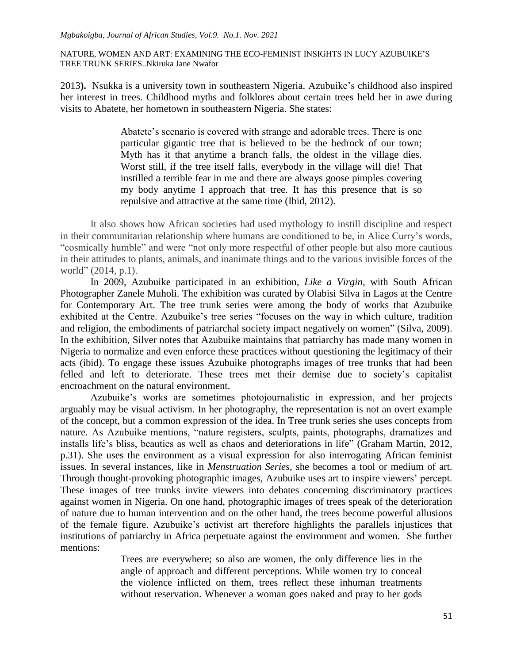2013**).** Nsukka is a university town in southeastern Nigeria. Azubuike"s childhood also inspired her interest in trees. Childhood myths and folklores about certain trees held her in awe during visits to Abatete, her hometown in southeastern Nigeria. She states:

> Abatete's scenario is covered with strange and adorable trees. There is one particular gigantic tree that is believed to be the bedrock of our town; Myth has it that anytime a branch falls, the oldest in the village dies. Worst still, if the tree itself falls, everybody in the village will die! That instilled a terrible fear in me and there are always goose pimples covering my body anytime I approach that tree. It has this presence that is so repulsive and attractive at the same time (Ibid, 2012).

It also shows how African societies had used mythology to instill discipline and respect in their communitarian relationship where humans are conditioned to be, in Alice Curry"s words, "cosmically humble" and were "not only more respectful of other people but also more cautious in their attitudes to plants, animals, and inanimate things and to the various invisible forces of the world" (2014, p.1).

In 2009, Azubuike participated in an exhibition, *Like a Virgin,* with South African Photographer Zanele Muholi. The exhibition was curated by Olabisi Silva in Lagos at the Centre for Contemporary Art. The tree trunk series were among the body of works that Azubuike exhibited at the Centre. Azubuike's tree series "focuses on the way in which culture, tradition and religion, the embodiments of patriarchal society impact negatively on women" (Silva, 2009). In the exhibition, Silver notes that Azubuike maintains that patriarchy has made many women in Nigeria to normalize and even enforce these practices without questioning the legitimacy of their acts (ibid). To engage these issues Azubuike photographs images of tree trunks that had been felled and left to deteriorate. These trees met their demise due to society"s capitalist encroachment on the natural environment.

Azubuike"s works are sometimes photojournalistic in expression, and her projects arguably may be visual activism. In her photography, the representation is not an overt example of the concept, but a common expression of the idea. In Tree trunk series she uses concepts from nature. As Azubuike mentions, "nature registers, sculpts, paints, photographs, dramatizes and installs life's bliss, beauties as well as chaos and deteriorations in life" (Graham Martin, 2012, p.31). She uses the environment as a visual expression for also interrogating African feminist issues. In several instances, like in *Menstruation Series*, she becomes a tool or medium of art. Through thought-provoking photographic images, Azubuike uses art to inspire viewers" percept. These images of tree trunks invite viewers into debates concerning discriminatory practices against women in Nigeria. On one hand, photographic images of trees speak of the deterioration of nature due to human intervention and on the other hand, the trees become powerful allusions of the female figure. Azubuike"s activist art therefore highlights the parallels injustices that institutions of patriarchy in Africa perpetuate against the environment and women. She further mentions:

> Trees are everywhere; so also are women, the only difference lies in the angle of approach and different perceptions. While women try to conceal the violence inflicted on them, trees reflect these inhuman treatments without reservation. Whenever a woman goes naked and pray to her gods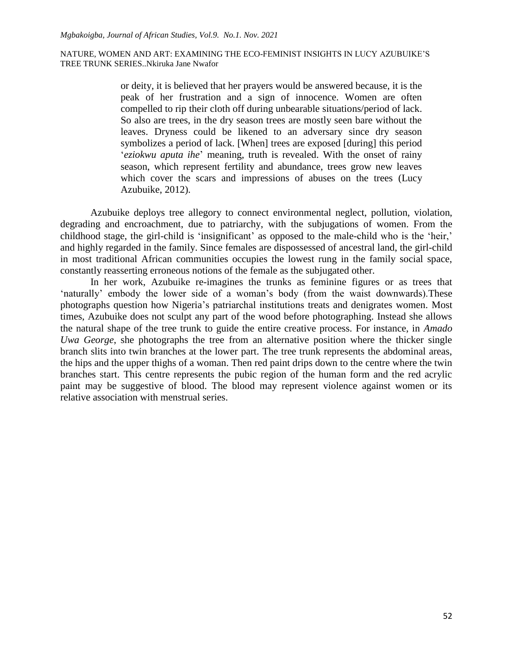or deity, it is believed that her prayers would be answered because, it is the peak of her frustration and a sign of innocence. Women are often compelled to rip their cloth off during unbearable situations/period of lack. So also are trees, in the dry season trees are mostly seen bare without the leaves. Dryness could be likened to an adversary since dry season symbolizes a period of lack. [When] trees are exposed [during] this period "*eziokwu aputa ihe*" meaning, truth is revealed. With the onset of rainy season, which represent fertility and abundance, trees grow new leaves which cover the scars and impressions of abuses on the trees (Lucy Azubuike, 2012).

Azubuike deploys tree allegory to connect environmental neglect, pollution, violation, degrading and encroachment, due to patriarchy, with the subjugations of women. From the childhood stage, the girl-child is 'insignificant' as opposed to the male-child who is the 'heir,' and highly regarded in the family. Since females are dispossessed of ancestral land, the girl-child in most traditional African communities occupies the lowest rung in the family social space, constantly reasserting erroneous notions of the female as the subjugated other.

In her work, Azubuike re-imagines the trunks as feminine figures or as trees that 'naturally' embody the lower side of a woman's body (from the waist downwards). These photographs question how Nigeria"s patriarchal institutions treats and denigrates women. Most times, Azubuike does not sculpt any part of the wood before photographing. Instead she allows the natural shape of the tree trunk to guide the entire creative process. For instance, in *Amado Uwa George*, she photographs the tree from an alternative position where the thicker single branch slits into twin branches at the lower part. The tree trunk represents the abdominal areas, the hips and the upper thighs of a woman. Then red paint drips down to the centre where the twin branches start. This centre represents the pubic region of the human form and the red acrylic paint may be suggestive of blood. The blood may represent violence against women or its relative association with menstrual series.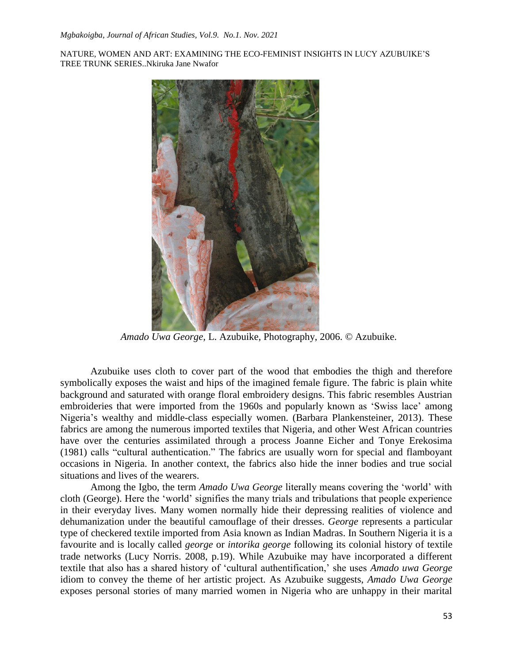

*Amado Uwa George,* L. Azubuike, Photography, 2006. © Azubuike.

Azubuike uses cloth to cover part of the wood that embodies the thigh and therefore symbolically exposes the waist and hips of the imagined female figure. The fabric is plain white background and saturated with orange floral embroidery designs. This fabric resembles Austrian embroideries that were imported from the 1960s and popularly known as "Swiss lace" among Nigeria"s wealthy and middle-class especially women. (Barbara Plankensteiner, 2013). These fabrics are among the numerous imported textiles that Nigeria, and other West African countries have over the centuries assimilated through a process Joanne Eicher and Tonye Erekosima (1981) calls "cultural authentication." The fabrics are usually worn for special and flamboyant occasions in Nigeria. In another context, the fabrics also hide the inner bodies and true social situations and lives of the wearers.

Among the Igbo, the term *Amado Uwa George* literally means covering the "world" with cloth (George). Here the "world" signifies the many trials and tribulations that people experience in their everyday lives. Many women normally hide their depressing realities of violence and dehumanization under the beautiful camouflage of their dresses. *George* represents a particular type of checkered textile imported from Asia known as Indian Madras. In Southern Nigeria it is a favourite and is locally called *george* or *intorika george* following its colonial history of textile trade networks (Lucy Norris. 2008, p.19). While Azubuike may have incorporated a different textile that also has a shared history of "cultural authentification," she uses *Amado uwa George* idiom to convey the theme of her artistic project. As Azubuike suggests, *Amado Uwa George* exposes personal stories of many married women in Nigeria who are unhappy in their marital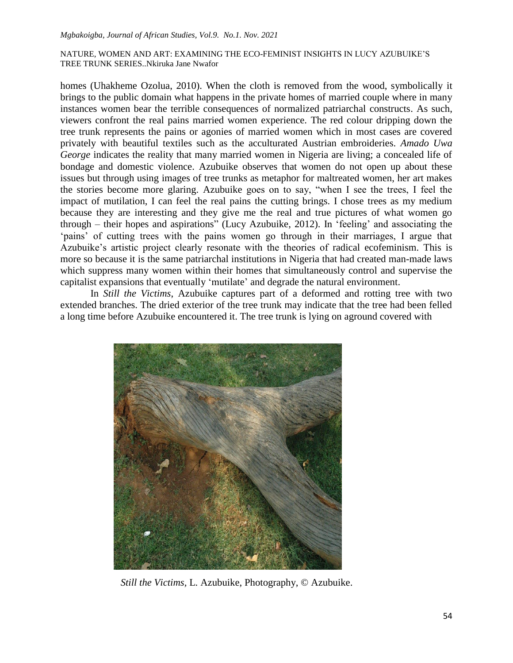homes (Uhakheme Ozolua, 2010). When the cloth is removed from the wood, symbolically it brings to the public domain what happens in the private homes of married couple where in many instances women bear the terrible consequences of normalized patriarchal constructs. As such, viewers confront the real pains married women experience. The red colour dripping down the tree trunk represents the pains or agonies of married women which in most cases are covered privately with beautiful textiles such as the acculturated Austrian embroideries. *Amado Uwa George* indicates the reality that many married women in Nigeria are living; a concealed life of bondage and domestic violence. Azubuike observes that women do not open up about these issues but through using images of tree trunks as metaphor for maltreated women, her art makes the stories become more glaring. Azubuike goes on to say, "when I see the trees, I feel the impact of mutilation, I can feel the real pains the cutting brings. I chose trees as my medium because they are interesting and they give me the real and true pictures of what women go through – their hopes and aspirations" (Lucy Azubuike, 2012). In "feeling" and associating the "pains" of cutting trees with the pains women go through in their marriages, I argue that Azubuike's artistic project clearly resonate with the theories of radical ecofeminism. This is more so because it is the same patriarchal institutions in Nigeria that had created man-made laws which suppress many women within their homes that simultaneously control and supervise the capitalist expansions that eventually "mutilate" and degrade the natural environment.

In *Still the Victims*, Azubuike captures part of a deformed and rotting tree with two extended branches. The dried exterior of the tree trunk may indicate that the tree had been felled a long time before Azubuike encountered it. The tree trunk is lying on aground covered with



*Still the Victims,* L. Azubuike, Photography, © Azubuike.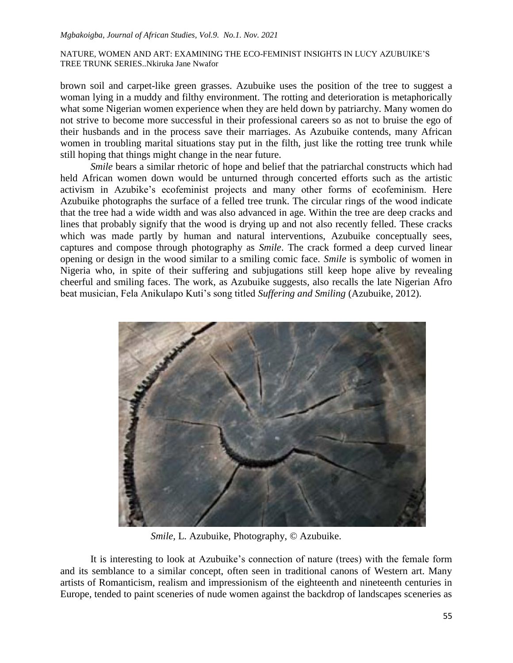brown soil and carpet-like green grasses. Azubuike uses the position of the tree to suggest a woman lying in a muddy and filthy environment. The rotting and deterioration is metaphorically what some Nigerian women experience when they are held down by patriarchy. Many women do not strive to become more successful in their professional careers so as not to bruise the ego of their husbands and in the process save their marriages. As Azubuike contends, many African women in troubling marital situations stay put in the filth, just like the rotting tree trunk while still hoping that things might change in the near future.

*Smile* bears a similar rhetoric of hope and belief that the patriarchal constructs which had held African women down would be unturned through concerted efforts such as the artistic activism in Azubike's ecofeminist projects and many other forms of ecofeminism. Here Azubuike photographs the surface of a felled tree trunk. The circular rings of the wood indicate that the tree had a wide width and was also advanced in age. Within the tree are deep cracks and lines that probably signify that the wood is drying up and not also recently felled. These cracks which was made partly by human and natural interventions, Azubuike conceptually sees, captures and compose through photography as *Smile*. The crack formed a deep curved linear opening or design in the wood similar to a smiling comic face. *Smile* is symbolic of women in Nigeria who, in spite of their suffering and subjugations still keep hope alive by revealing cheerful and smiling faces. The work, as Azubuike suggests, also recalls the late Nigerian Afro beat musician, Fela Anikulapo Kuti's song titled *Suffering and Smiling* (Azubuike, 2012).



*Smile,* L. Azubuike, Photography, © Azubuike.

It is interesting to look at Azubuike"s connection of nature (trees) with the female form and its semblance to a similar concept, often seen in traditional canons of Western art. Many artists of Romanticism, realism and impressionism of the eighteenth and nineteenth centuries in Europe, tended to paint sceneries of nude women against the backdrop of landscapes sceneries as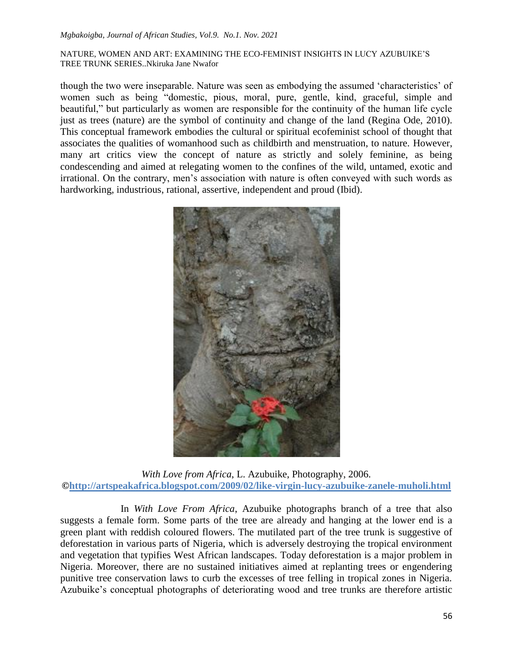though the two were inseparable. Nature was seen as embodying the assumed "characteristics" of women such as being "domestic, pious, moral, pure, gentle, kind, graceful, simple and beautiful," but particularly as women are responsible for the continuity of the human life cycle just as trees (nature) are the symbol of continuity and change of the land (Regina Ode, 2010). This conceptual framework embodies the cultural or spiritual ecofeminist school of thought that associates the qualities of womanhood such as childbirth and menstruation, to nature. However, many art critics view the concept of nature as strictly and solely feminine, as being condescending and aimed at relegating women to the confines of the wild, untamed, exotic and irrational. On the contrary, men"s association with nature is often conveyed with such words as hardworking, industrious, rational, assertive, independent and proud (Ibid).



*With Love from Africa*, L. Azubuike, Photography, 2006. **[©http://artspeakafrica.blogspot.com/2009/02/like-virgin-lucy-azubuike-zanele-muholi.html](http://artspeakafrica.blogspot.com/2009/02/like-virgin-lucy-azubuike-zanele-muholi.html)**

In *With Love From Africa*, Azubuike photographs branch of a tree that also suggests a female form. Some parts of the tree are already and hanging at the lower end is a green plant with reddish coloured flowers. The mutilated part of the tree trunk is suggestive of deforestation in various parts of Nigeria, which is adversely destroying the tropical environment and vegetation that typifies West African landscapes. Today deforestation is a major problem in Nigeria. Moreover, there are no sustained initiatives aimed at replanting trees or engendering punitive tree conservation laws to curb the excesses of tree felling in tropical zones in Nigeria. Azubuike"s conceptual photographs of deteriorating wood and tree trunks are therefore artistic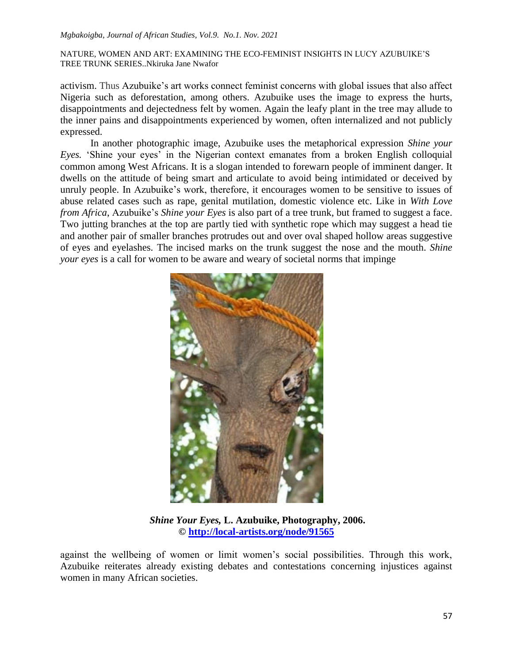#### *Mgbakoigba, Journal of African Studies, Vol.9. No.1. Nov. 2021*

NATURE, WOMEN AND ART: EXAMINING THE ECO-FEMINIST INSIGHTS IN LUCY AZUBUIKE"S TREE TRUNK SERIES..Nkiruka Jane Nwafor

activism. Thus Azubuike"s art works connect feminist concerns with global issues that also affect Nigeria such as deforestation, among others. Azubuike uses the image to express the hurts, disappointments and dejectedness felt by women. Again the leafy plant in the tree may allude to the inner pains and disappointments experienced by women, often internalized and not publicly expressed.

In another photographic image, Azubuike uses the metaphorical expression *Shine your Eyes.* 'Shine your eyes' in the Nigerian context emanates from a broken English colloquial common among West Africans. It is a slogan intended to forewarn people of imminent danger. It dwells on the attitude of being smart and articulate to avoid being intimidated or deceived by unruly people. In Azubuike"s work, therefore, it encourages women to be sensitive to issues of abuse related cases such as rape, genital mutilation, domestic violence etc. Like in *With Love from Africa*, Azubuike's *Shine your Eyes* is also part of a tree trunk, but framed to suggest a face. Two jutting branches at the top are partly tied with synthetic rope which may suggest a head tie and another pair of smaller branches protrudes out and over oval shaped hollow areas suggestive of eyes and eyelashes. The incised marks on the trunk suggest the nose and the mouth. *Shine your eyes* is a call for women to be aware and weary of societal norms that impinge



*Shine Your Eyes,* **L. Azubuike, Photography, 2006. ©<http://local-artists.org/node/91565>**

against the wellbeing of women or limit women's social possibilities. Through this work, Azubuike reiterates already existing debates and contestations concerning injustices against women in many African societies.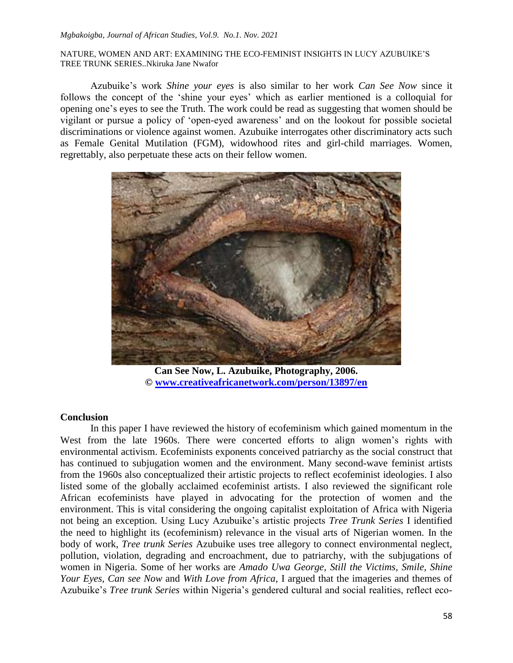Azubuike"s work *Shine your eyes* is also similar to her work *Can See Now* since it follows the concept of the "shine your eyes" which as earlier mentioned is a colloquial for opening one"s eyes to see the Truth. The work could be read as suggesting that women should be vigilant or pursue a policy of "open-eyed awareness" and on the lookout for possible societal discriminations or violence against women. Azubuike interrogates other discriminatory acts such as Female Genital Mutilation (FGM), widowhood rites and girl-child marriages. Women, regrettably, also perpetuate these acts on their fellow women.



**Can See Now, L. Azubuike, Photography, 2006. © [www.creativeafricanetwork.com/person/13897/en](http://www.creativeafricanetwork.com/person/13897/en)**

### **Conclusion**

In this paper I have reviewed the history of ecofeminism which gained momentum in the West from the late 1960s. There were concerted efforts to align women's rights with environmental activism. Ecofeminists exponents conceived patriarchy as the social construct that has continued to subjugation women and the environment. Many second-wave feminist artists from the 1960s also conceptualized their artistic projects to reflect ecofeminist ideologies. I also listed some of the globally acclaimed ecofeminist artists. I also reviewed the significant role African ecofeminists have played in advocating for the protection of women and the environment. This is vital considering the ongoing capitalist exploitation of Africa with Nigeria not being an exception. Using Lucy Azubuike"s artistic projects *Tree Trunk Series* I identified the need to highlight its (ecofeminism) relevance in the visual arts of Nigerian women. In the body of work, *Tree trunk Series* Azubuike uses tree allegory to connect environmental neglect, pollution, violation, degrading and encroachment, due to patriarchy, with the subjugations of women in Nigeria. Some of her works are *Amado Uwa George, Still the Victims, Smile, Shine Your Eyes, Can see Now* and *With Love from Africa,* I argued that the imageries and themes of Azubuike"s *Tree trunk Series* within Nigeria"s gendered cultural and social realities, reflect eco-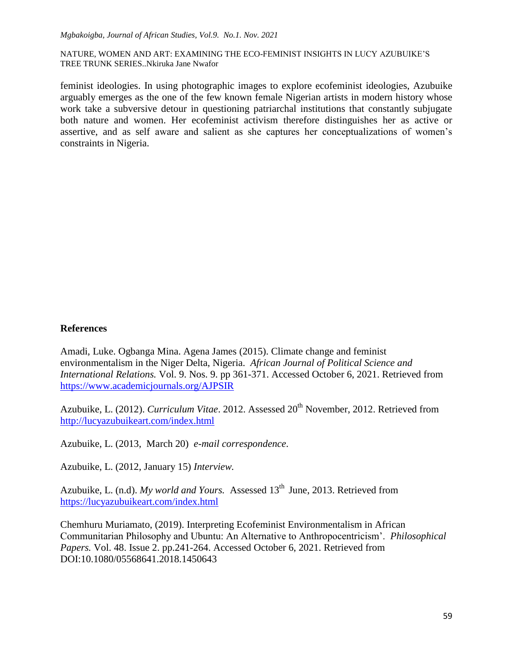feminist ideologies. In using photographic images to explore ecofeminist ideologies, Azubuike arguably emerges as the one of the few known female Nigerian artists in modern history whose work take a subversive detour in questioning patriarchal institutions that constantly subjugate both nature and women. Her ecofeminist activism therefore distinguishes her as active or assertive, and as self aware and salient as she captures her conceptualizations of women"s constraints in Nigeria.

# **References**

Amadi, Luke. Ogbanga Mina. Agena James (2015). Climate change and feminist environmentalism in the Niger Delta, Nigeria. *African Journal of Political Science and International Relations.* Vol. 9. Nos. 9. pp 361-371. Accessed October 6, 2021. Retrieved from <https://www.academicjournals.org/AJPSIR>

Azubuike, L. (2012). *Curriculum Vitae*. 2012. Assessed 20<sup>th</sup> November, 2012. Retrieved from <http://lucyazubuikeart.com/index.html>

Azubuike, L. (2013, March 20) *e-mail correspondence*.

Azubuike, L. (2012, January 15) *Interview.*

Azubuike, L. (n.d). *My world and Yours.* Assessed 13<sup>th</sup> June, 2013. Retrieved from <https://lucyazubuikeart.com/index.html>

Chemhuru Muriamato, (2019). Interpreting Ecofeminist Environmentalism in African Communitarian Philosophy and Ubuntu: An Alternative to Anthropocentricism". *Philosophical Papers.* Vol. 48. Issue 2. pp.241-264. Accessed October 6, 2021. Retrieved from DOI:10.1080/05568641.2018.1450643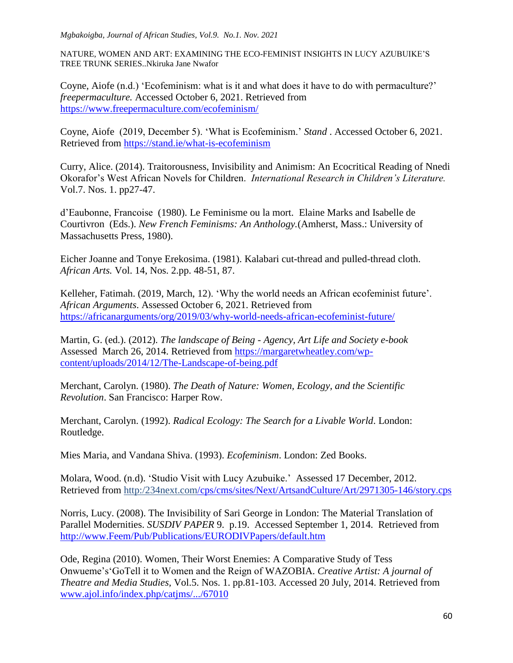#### *Mgbakoigba, Journal of African Studies, Vol.9. No.1. Nov. 2021*

NATURE, WOMEN AND ART: EXAMINING THE ECO-FEMINIST INSIGHTS IN LUCY AZUBUIKE"S TREE TRUNK SERIES..Nkiruka Jane Nwafor

Coyne, Aiofe (n.d.) "Ecofeminism: what is it and what does it have to do with permaculture?" *freepermaculture.* Accessed October 6, 2021. Retrieved from <https://www.freepermaculture.com/ecofeminism/>

Coyne, Aiofe (2019, December 5). "What is Ecofeminism." *Stand* . Accessed October 6, 2021. Retrieved from<https://stand.ie/what-is-ecofeminism>

Curry, Alice. (2014). Traitorousness, Invisibility and Animism: An Ecocritical Reading of Nnedi Okorafor"s West African Novels for Children. *International Research in Children's Literature.* Vol.7. Nos. 1. pp27-47.

d"Eaubonne, Francoise (1980). Le Feminisme ou la mort. Elaine Marks and Isabelle de Courtivron (Eds.). *New French Feminisms: An Anthology.*(Amherst, Mass.: University of Massachusetts Press, 1980).

Eicher Joanne and Tonye Erekosima. (1981). Kalabari cut-thread and pulled-thread cloth. *African Arts.* Vol. 14, Nos. 2.pp. 48-51, 87.

Kelleher, Fatimah. (2019, March, 12). 'Why the world needs an African ecofeminist future'. *African Arguments*. Assessed October 6, 2021. Retrieved from <https://africanarguments/org/2019/03/why-world-needs-african-ecofeminist-future/>

Martin, G. (ed.). (2012). *The landscape of Being* - *Agency, Art Life and Society e-book* Assessed March 26, 2014. Retrieved from [https://margaretwheatley.com/wp](https://margaretwheatley.com/wp-content/uploads/2014/12/The-Landscape-of-being.pdf)[content/uploads/2014/12/The-Landscape-of-being.pdf](https://margaretwheatley.com/wp-content/uploads/2014/12/The-Landscape-of-being.pdf)

Merchant, Carolyn. (1980). *The Death of Nature: Women, Ecology, and the Scientific Revolution*. San Francisco: Harper Row.

Merchant, Carolyn. (1992). *Radical Ecology: The Search for a Livable World*. London: Routledge.

Mies Maria, and Vandana Shiva. (1993). *Ecofeminism*. London: Zed Books.

Molara, Wood. (n.d). 'Studio Visit with Lucy Azubuike.' Assessed 17 December, 2012. Retrieved from http:/234next.co[m/cps/cms/sites/Next/ArtsandCulture/Art/2971305-146/story.cps](http://234next.com/cps/cms/sites/Next/ArtsandCulture/Art/5229256-146/story.cps) 

Norris, Lucy. (2008). The Invisibility of Sari George in London: The Material Translation of Parallel Modernities. *SUSDIV PAPER* 9. p.19. Accessed September 1, 2014. Retrieved from [http://www.Feem/Pub/Publications/EURODIVPapers/default.htm](http://www.feem/Pub/Publications/EURODIVPapers/default.htm)

Ode, Regina (2010). Women, Their Worst Enemies: A Comparative Study of Tess Onwueme"s"GoTell it to Women and the Reign of WAZOBIA. *Creative Artist: A journal of Theatre and Media Studies,* Vol.5. Nos. 1. pp.81-103. Accessed 20 July, 2014. Retrieved from [www.ajol.info/index.php/catjms/.../67010](http://www.ajol.info/index.php/catjms/.../67010)